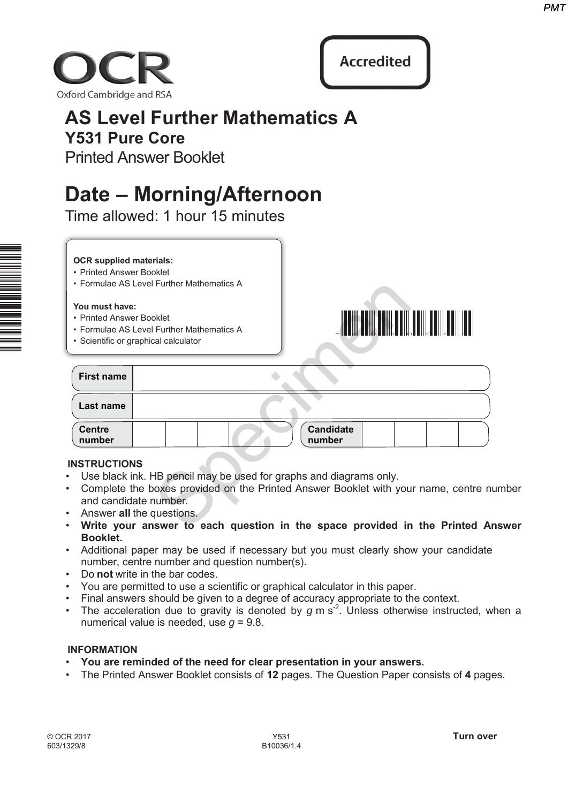



## **AS Level Further Mathematics A Y531 Pure Core**

# **Date – Morning/Afternoon**

### **OCR supplied materials:**

- Printed Answer Booklet
- Formulae AS Level Further Mathematics A

### **You must have:**

- Printed Answer Booklet
- Formulae AS Level Further Mathematics A
- Scientific or graphical calculator



|                                                                                   | PM1                                                                                     |
|-----------------------------------------------------------------------------------|-----------------------------------------------------------------------------------------|
| ford Cambridge and RSA                                                            | <b>Accredited</b>                                                                       |
| <b>AS Level Further Mathematics A</b>                                             |                                                                                         |
| <b>Y531 Pure Core</b><br><b>Printed Answer Booklet</b>                            |                                                                                         |
|                                                                                   |                                                                                         |
| Date – Morning/Afternoon<br>Time allowed: 1 hour 15 minutes                       |                                                                                         |
|                                                                                   |                                                                                         |
| <b>OCR supplied materials:</b><br>• Printed Answer Booklet                        |                                                                                         |
| • Formulae AS Level Further Mathematics A                                         |                                                                                         |
| You must have:<br>• Printed Answer Booklet                                        |                                                                                         |
| • Formulae AS Level Further Mathematics A<br>• Scientific or graphical calculator |                                                                                         |
| <b>First name</b>                                                                 |                                                                                         |
| Last name                                                                         |                                                                                         |
| <b>Centre</b><br>number                                                           | <b>Candidate</b><br>number                                                              |
| <b>INSTRUCTIONS</b>                                                               |                                                                                         |
| Use black ink. HB pencil may be used for graphs and diagrams only.                | Complete the boxes provided on the Printed Answer Booklet with your name, centre number |
| and candidate number.<br>Answer all the questions.                                |                                                                                         |
|                                                                                   | Write your answer to each question in the space provided in the Printed Answer          |

### **INSTRUCTIONS**

- Use black ink. HB pencil may be used for graphs and diagrams only.
- Complete the boxes provided on the Printed Answer Booklet with your name, centre number and candidate number.
- Answer **all** the questions.
- **Write your answer to each question in the space provided in the Printed Answer Booklet.**
- Additional paper may be used if necessary but you must clearly show your candidate number, centre number and question number(s).
- Do **not** write in the bar codes.
- You are permitted to use a scientific or graphical calculator in this paper.
- Final answers should be given to a degree of accuracy appropriate to the context.
- The acceleration due to gravity is denoted by  $g$  m s<sup>-2</sup>. Unless otherwise instructed, when a numerical value is needed, use *g* = 9.8.

### **INFORMATION**

- **You are reminded of the need for clear presentation in your answers.**
- The Printed Answer Booklet consists of **12** pages. The Question Paper consists of **4** pages.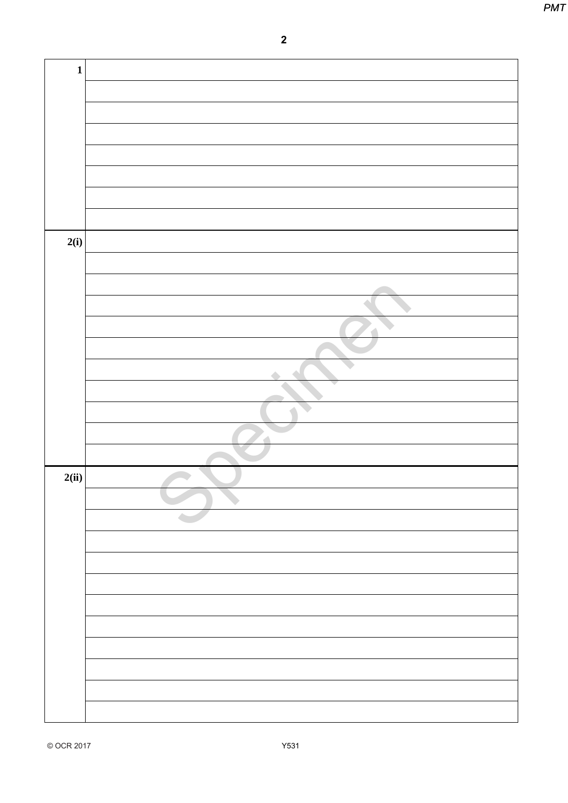|             | $\overline{\mathbf{2}}$ |
|-------------|-------------------------|
|             |                         |
| $\mathbf 1$ |                         |
|             |                         |
|             |                         |
|             |                         |
|             |                         |
|             |                         |
|             |                         |
| 2(i)        |                         |
|             |                         |
|             |                         |
|             |                         |
|             |                         |
|             | $\triangle$             |
|             |                         |
|             |                         |
|             |                         |
| 2(ii)       |                         |
|             |                         |
|             |                         |
|             |                         |
|             |                         |
|             |                         |
|             |                         |
|             |                         |
|             |                         |
|             |                         |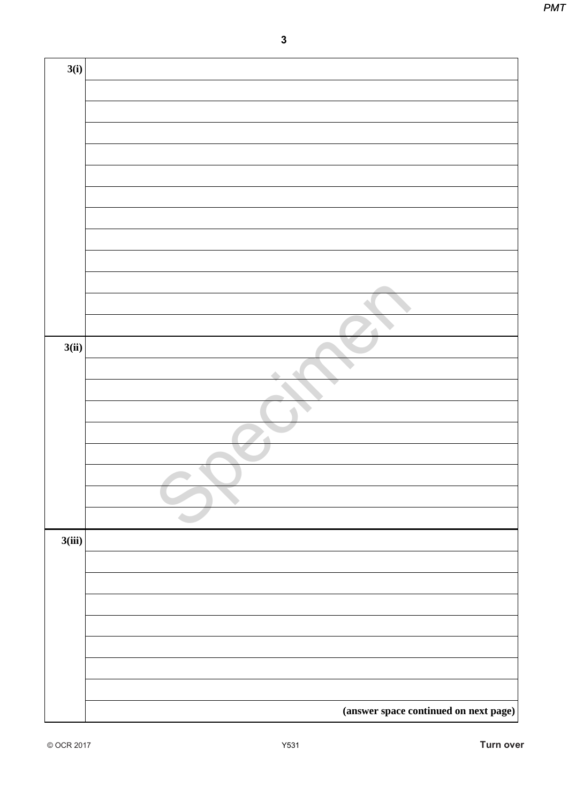|        | $\mathbf{3}$ |
|--------|--------------|
| 3(i)   |              |
|        |              |
|        |              |
|        |              |
|        |              |
|        |              |
|        |              |
|        |              |
|        |              |
|        |              |
|        |              |
|        |              |
| 3(ii)  |              |
|        |              |
|        |              |
|        |              |
|        | ó            |
|        |              |
|        |              |
|        |              |
|        |              |
| 3(iii) |              |
|        |              |
|        |              |
|        |              |
|        |              |
|        |              |
|        |              |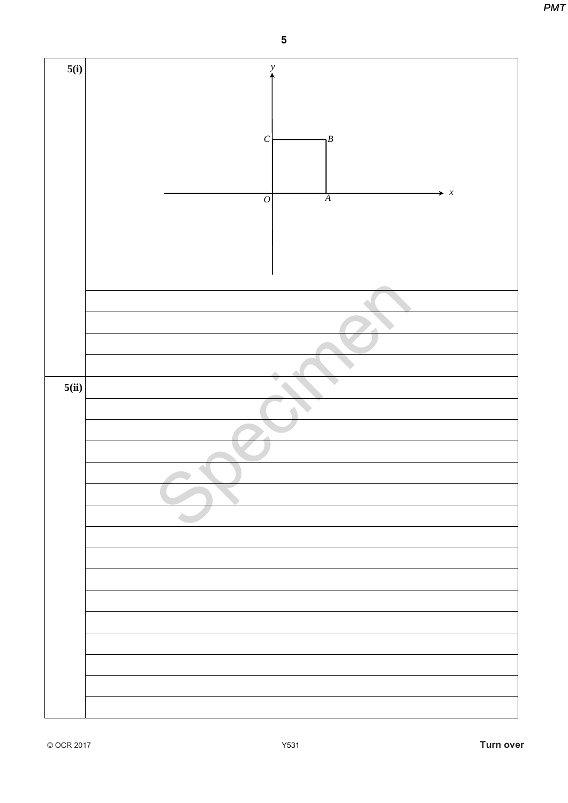**PMT** 



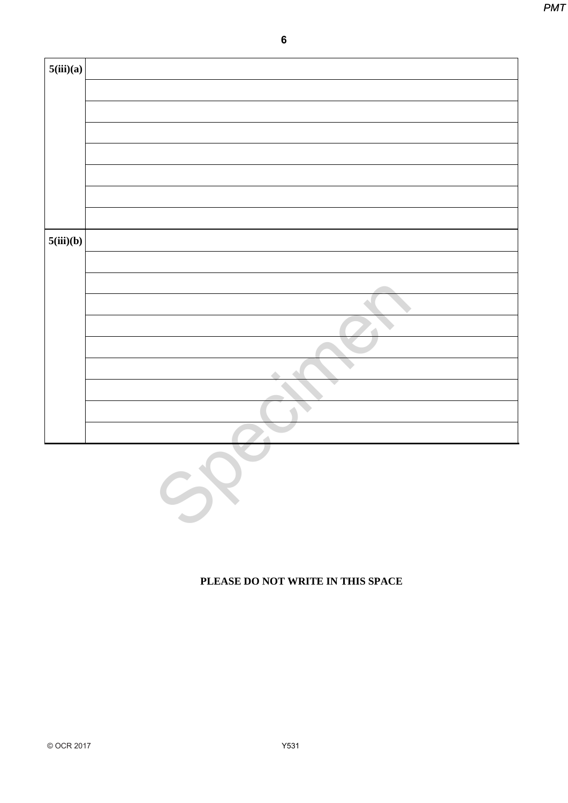|           | $\bf 6$            |  |
|-----------|--------------------|--|
| 5(iii)(a) |                    |  |
|           |                    |  |
|           |                    |  |
|           |                    |  |
|           |                    |  |
|           |                    |  |
| 5(iii)(b) |                    |  |
|           |                    |  |
|           |                    |  |
|           |                    |  |
|           |                    |  |
|           |                    |  |
|           | $\mathcal G$<br>SP |  |
|           |                    |  |



### **PLEASE DO NOT WRITE IN THIS SPACE**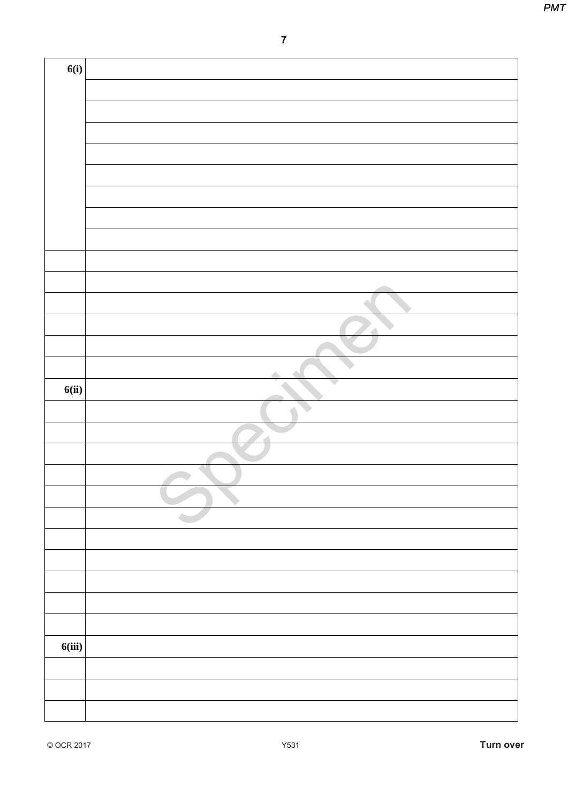|        | $\boldsymbol{7}$ |
|--------|------------------|
|        |                  |
| 6(i)   |                  |
|        |                  |
|        |                  |
|        |                  |
|        |                  |
|        |                  |
|        |                  |
|        |                  |
|        |                  |
|        |                  |
|        |                  |
|        |                  |
|        |                  |
|        |                  |
|        |                  |
| 6(ii)  |                  |
|        |                  |
|        |                  |
|        |                  |
|        |                  |
|        |                  |
|        |                  |
|        |                  |
|        |                  |
|        |                  |
|        |                  |
|        |                  |
| 6(iii) |                  |
|        |                  |
|        |                  |
|        |                  |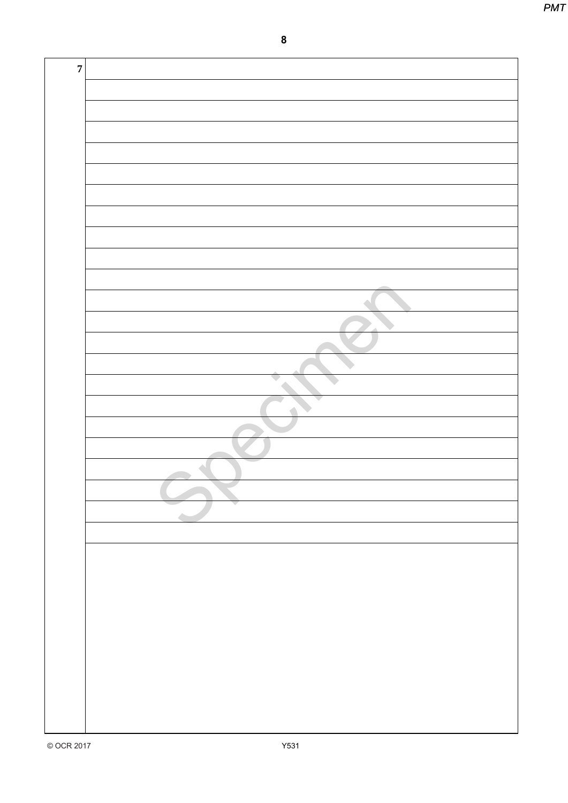**PMT** 

 $\boldsymbol{8}$ 

| $\boldsymbol{7}$ |                                                                                                                             |
|------------------|-----------------------------------------------------------------------------------------------------------------------------|
|                  |                                                                                                                             |
|                  |                                                                                                                             |
|                  |                                                                                                                             |
|                  |                                                                                                                             |
|                  |                                                                                                                             |
|                  |                                                                                                                             |
|                  |                                                                                                                             |
|                  |                                                                                                                             |
|                  |                                                                                                                             |
|                  |                                                                                                                             |
|                  |                                                                                                                             |
|                  |                                                                                                                             |
|                  |                                                                                                                             |
|                  |                                                                                                                             |
|                  |                                                                                                                             |
|                  |                                                                                                                             |
|                  |                                                                                                                             |
|                  |                                                                                                                             |
|                  | <u> 1989 - Johann Stoff, deutscher Stoffen und der Stoffen und der Stoffen und der Stoffen und der Stoffen und der</u><br>▼ |
|                  |                                                                                                                             |
|                  |                                                                                                                             |
|                  |                                                                                                                             |
|                  |                                                                                                                             |
|                  |                                                                                                                             |
|                  |                                                                                                                             |
|                  |                                                                                                                             |
|                  |                                                                                                                             |
|                  |                                                                                                                             |
|                  |                                                                                                                             |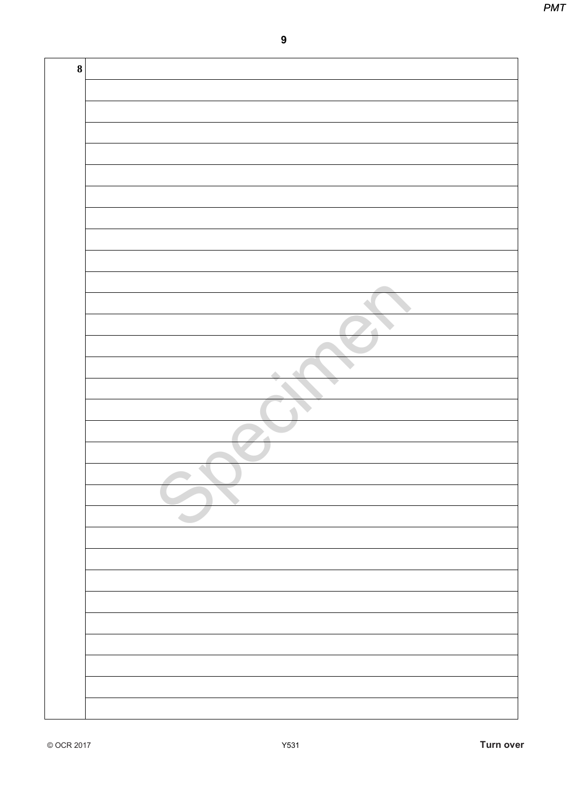| $\bf 8$ |  |
|---------|--|
|         |  |
|         |  |
|         |  |
|         |  |
|         |  |
|         |  |
|         |  |
|         |  |
|         |  |
|         |  |
|         |  |
|         |  |
|         |  |
|         |  |
|         |  |
|         |  |
|         |  |
|         |  |
|         |  |
|         |  |
|         |  |
|         |  |
|         |  |
|         |  |
|         |  |
|         |  |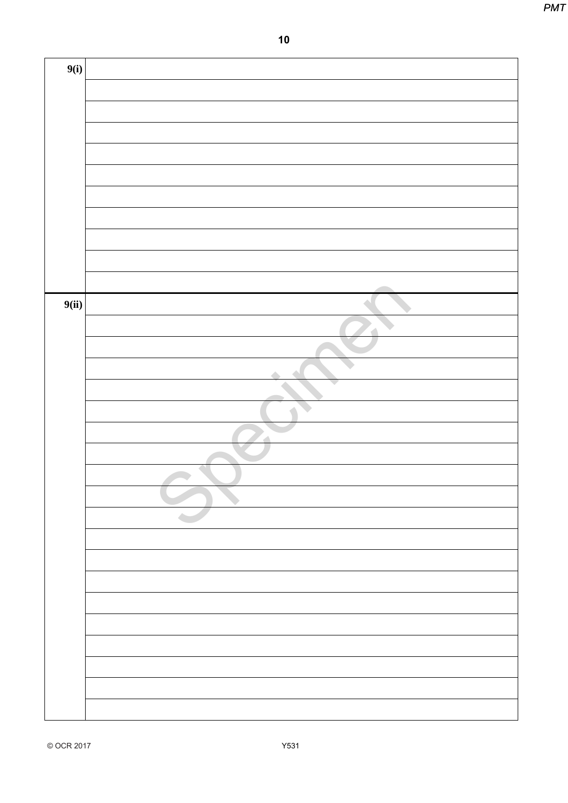|       | $10$ |
|-------|------|
| 9(i)  |      |
|       |      |
|       |      |
|       |      |
|       |      |
|       |      |
|       |      |
|       |      |
|       |      |
|       |      |
| 9(ii) |      |
|       |      |
|       |      |
|       |      |
|       |      |
|       |      |
|       |      |
|       |      |
|       |      |
|       |      |
|       |      |
|       |      |
|       |      |
|       |      |
|       |      |
|       |      |
|       |      |
|       |      |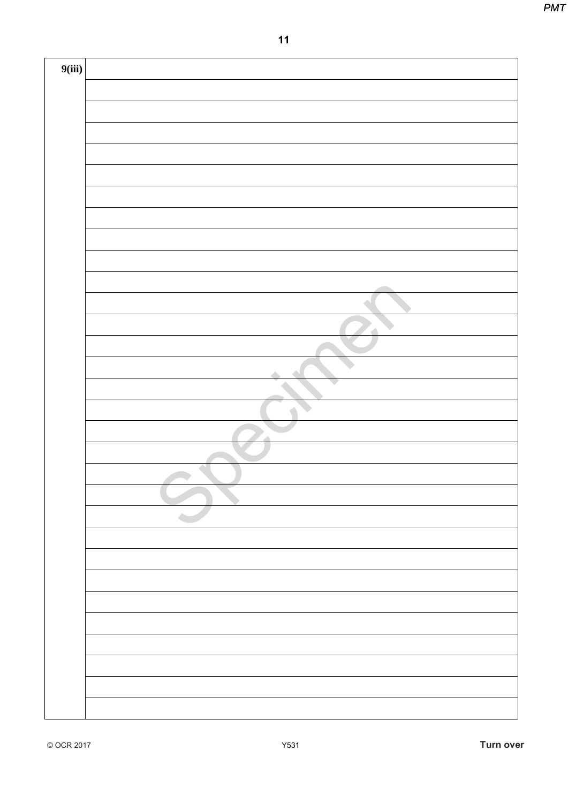**PMT** 

| 9(iii) |  |
|--------|--|
|        |  |
|        |  |
|        |  |
|        |  |
|        |  |
|        |  |
|        |  |
|        |  |
|        |  |
|        |  |
|        |  |
|        |  |
|        |  |
|        |  |
|        |  |
|        |  |
|        |  |
|        |  |
|        |  |
|        |  |
|        |  |
|        |  |
|        |  |
|        |  |
|        |  |
|        |  |
|        |  |
|        |  |
|        |  |
|        |  |
|        |  |
|        |  |
|        |  |
|        |  |
|        |  |
|        |  |